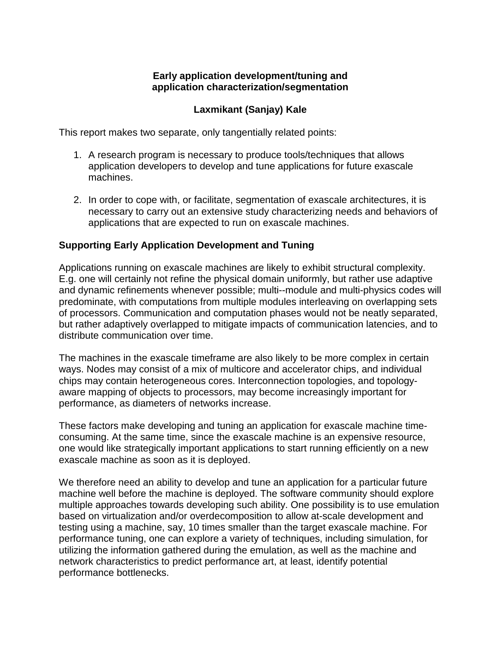## **Early application development/tuning and application characterization/segmentation**

## **Laxmikant (Sanjay) Kale**

This report makes two separate, only tangentially related points:

- 1. A research program is necessary to produce tools/techniques that allows application developers to develop and tune applications for future exascale machines.
- 2. In order to cope with, or facilitate, segmentation of exascale architectures, it is necessary to carry out an extensive study characterizing needs and behaviors of applications that are expected to run on exascale machines.

## **Supporting Early Application Development and Tuning**

Applications running on exascale machines are likely to exhibit structural complexity. E.g. one will certainly not refine the physical domain uniformly, but rather use adaptive and dynamic refinements whenever possible; multi--module and multi-physics codes will predominate, with computations from multiple modules interleaving on overlapping sets of processors. Communication and computation phases would not be neatly separated, but rather adaptively overlapped to mitigate impacts of communication latencies, and to distribute communication over time.

The machines in the exascale timeframe are also likely to be more complex in certain ways. Nodes may consist of a mix of multicore and accelerator chips, and individual chips may contain heterogeneous cores. Interconnection topologies, and topologyaware mapping of objects to processors, may become increasingly important for performance, as diameters of networks increase.

These factors make developing and tuning an application for exascale machine timeconsuming. At the same time, since the exascale machine is an expensive resource, one would like strategically important applications to start running efficiently on a new exascale machine as soon as it is deployed.

We therefore need an ability to develop and tune an application for a particular future machine well before the machine is deployed. The software community should explore multiple approaches towards developing such ability. One possibility is to use emulation based on virtualization and/or overdecomposition to allow at-scale development and testing using a machine, say, 10 times smaller than the target exascale machine. For performance tuning, one can explore a variety of techniques, including simulation, for utilizing the information gathered during the emulation, as well as the machine and network characteristics to predict performance art, at least, identify potential performance bottlenecks.